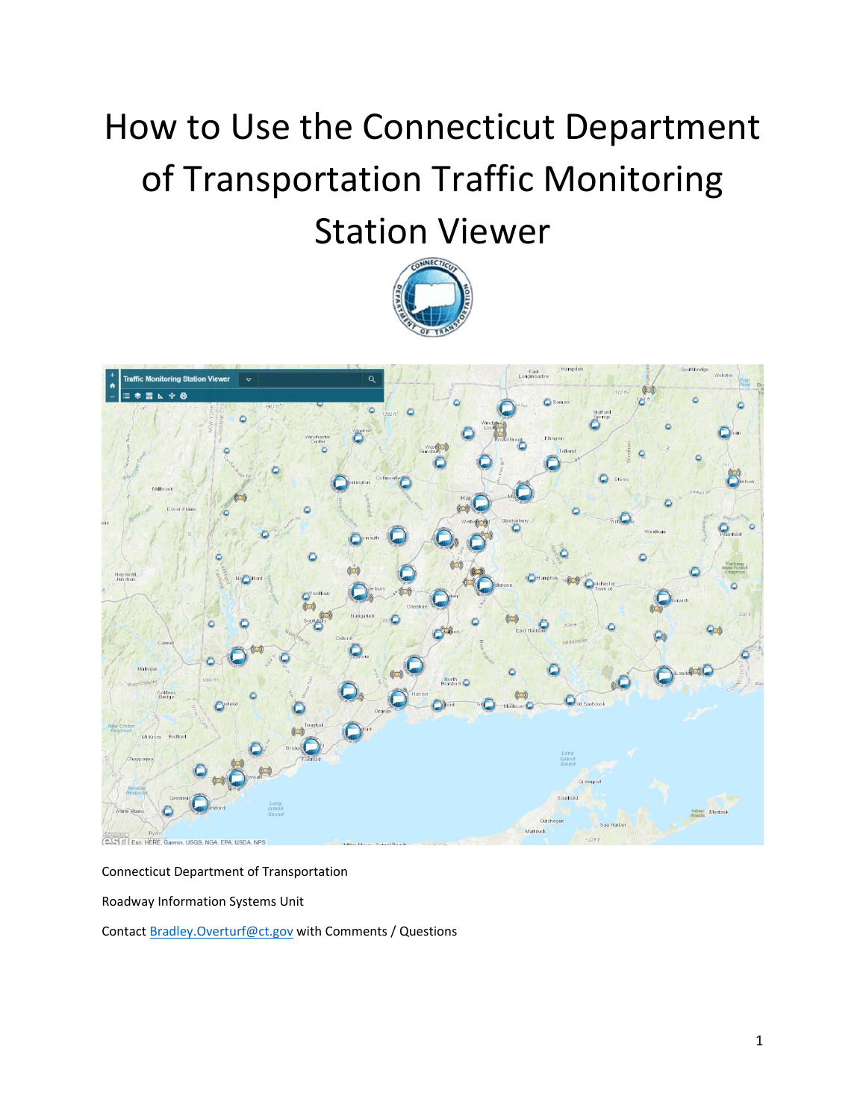## How to Use the Connecticut Department of Transportation Traffic Monitoring Station Viewer





## Connecticut Department of Transportation

Roadway Information Systems Unit

Contact Bradley.Overturf@ct.gov with Comments / Questions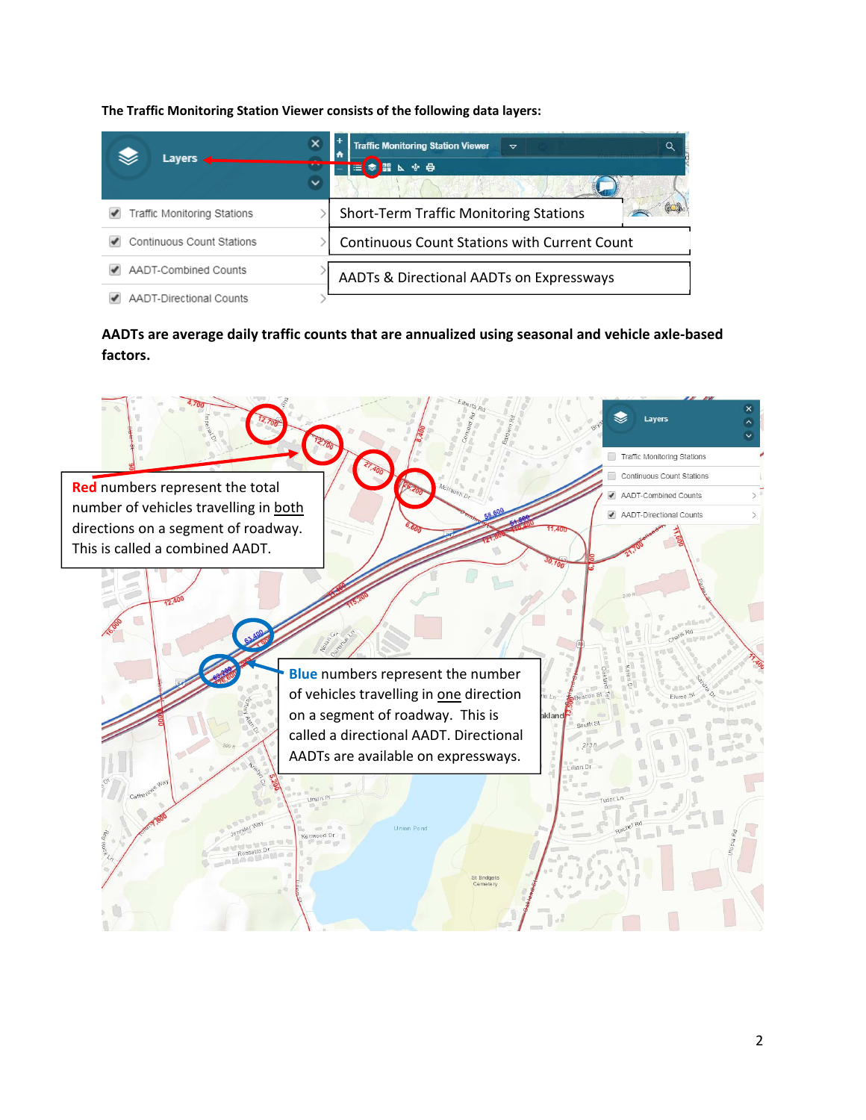**The Traffic Monitoring Station Viewer consists of the following data layers:**

| Lavers $\blacksquare$          | <b>Traffic Monitoring Station Viewer</b><br>Q<br>$\triangledown$ |
|--------------------------------|------------------------------------------------------------------|
|                                | 少員<br>四照<br>œ                                                    |
| Traffic Monitoring Stations    | <b>Short-Term Traffic Monitoring Stations</b>                    |
| Continuous Count Stations      | <b>Continuous Count Stations with Current Count</b>              |
| AADT-Combined Counts           | AADTs & Directional AADTs on Expressways                         |
| <b>AADT-Directional Counts</b> |                                                                  |

**AADTs are average daily traffic counts that are annualized using seasonal and vehicle axle‐based factors.**

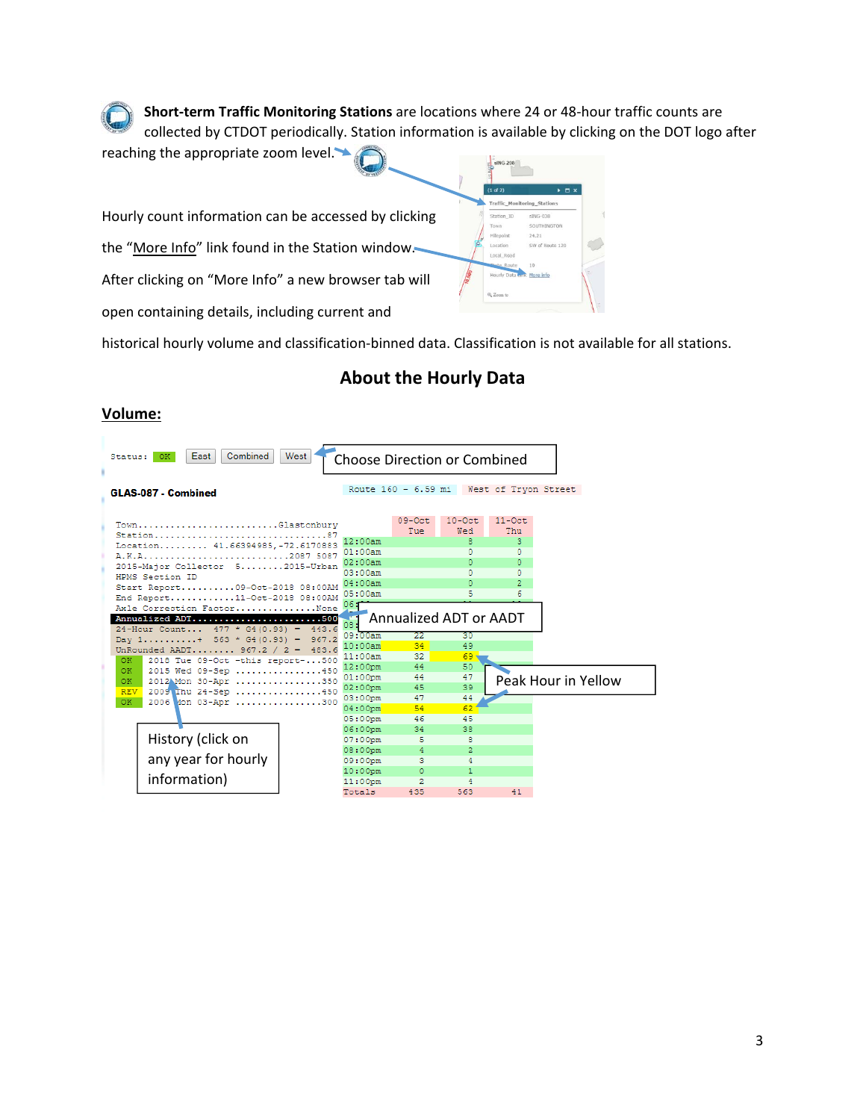**Short‐term Traffic Monitoring Stations** are locations where 24 or 48‐hour traffic counts are collected by CTDOT periodically. Station information is available by clicking on the DOT logo after



historical hourly volume and classification‐binned data. Classification is not available for all stations.

## **About the Hourly Data**

## **Volume:**

|                                                                 | Combined<br>East<br>Status:                                      | West      |                       | <b>Choose Direction or Combined</b> |                 |                      |  |  |  |
|-----------------------------------------------------------------|------------------------------------------------------------------|-----------|-----------------------|-------------------------------------|-----------------|----------------------|--|--|--|
|                                                                 | GLAS-087 - Combined                                              |           |                       | Route 160 - 6.59 mi                 |                 | West of Tryon Street |  |  |  |
|                                                                 |                                                                  |           |                       |                                     |                 |                      |  |  |  |
|                                                                 | TownGlastonbury                                                  |           |                       | $09-0ct$<br>Tue                     | $10-0ct$<br>Wed | $11-0ct$<br>Thu      |  |  |  |
|                                                                 | Location 41.66394985. - 72.6170883                               |           | 12:00am               |                                     | 8               | 3                    |  |  |  |
|                                                                 |                                                                  |           | 01:00am               |                                     | n               | o                    |  |  |  |
|                                                                 | A.K.A                                                            | 2087 5087 | 02:00am               |                                     | n               | o                    |  |  |  |
|                                                                 | 2015-Maior Collector 52015-Urban                                 |           | 03:00am               |                                     | Λ               | o                    |  |  |  |
|                                                                 | HPMS Section ID                                                  |           | 04:00am               |                                     |                 | $\overline{2}$       |  |  |  |
|                                                                 | Start Report09-Oct-2018 08:00AM<br>End Report11-Oct-2018 08:00AM | 05:00am   |                       | 5                                   | б               |                      |  |  |  |
|                                                                 | Axle Correction FactorNone                                       |           | 06:                   |                                     |                 |                      |  |  |  |
|                                                                 | Annualized ADT500                                                |           |                       | Annualized ADT or AADT              |                 |                      |  |  |  |
|                                                                 | 24-Hour Count 477 * G4(0.93) =                                   | 443.6     | 08:                   |                                     |                 |                      |  |  |  |
|                                                                 | Day $1, \ldots, \ldots, + 563 * G4(0.93)$                        | 967.2     | 09:00am<br>10:00am    | 22                                  | 30              |                      |  |  |  |
|                                                                 | UnRounded AADT 967.2 /                                           | 483.6     |                       | 34                                  | 49              |                      |  |  |  |
| 2018 Tue 09-Oct -this report-500<br>OK.                         |                                                                  |           | 11:00am               | 32                                  | 69              |                      |  |  |  |
|                                                                 | OK.<br>2015 Wed 09-Sep 450<br>2012AMon 30-Apr 350<br>OK.         |           | 12:00pm               | 44                                  | 50              |                      |  |  |  |
|                                                                 |                                                                  |           | $01:00$ pm<br>02:00pm | 44<br>45                            | 47<br>39        | Peak Hour in Yellow  |  |  |  |
| 2009 Thu 24-Sep 450<br><b>REV</b><br>2006 Mon 03-Apr 300<br>OK. |                                                                  |           | 03:00pm               | 47                                  | 44              |                      |  |  |  |
|                                                                 |                                                                  |           | $04:00$ pm            | 54                                  | 62              |                      |  |  |  |
|                                                                 |                                                                  |           | 05:00pm               | 46                                  | 45              |                      |  |  |  |
|                                                                 |                                                                  |           | 06:00pm               | 34                                  | 38              |                      |  |  |  |
|                                                                 | History (click on                                                |           | $07:00$ pm            | 5                                   |                 |                      |  |  |  |
|                                                                 |                                                                  |           | 08:00pm               | 4                                   | 2               |                      |  |  |  |
|                                                                 | any year for hourly                                              |           | 09:00pm               | 3                                   |                 |                      |  |  |  |
|                                                                 |                                                                  |           | 10:00pm               | $\Omega$                            | 1               |                      |  |  |  |
|                                                                 | information)                                                     |           | 11:00pm               | $\overline{2}$                      |                 |                      |  |  |  |
|                                                                 |                                                                  |           | Totals                | 435                                 | 563             | 41                   |  |  |  |